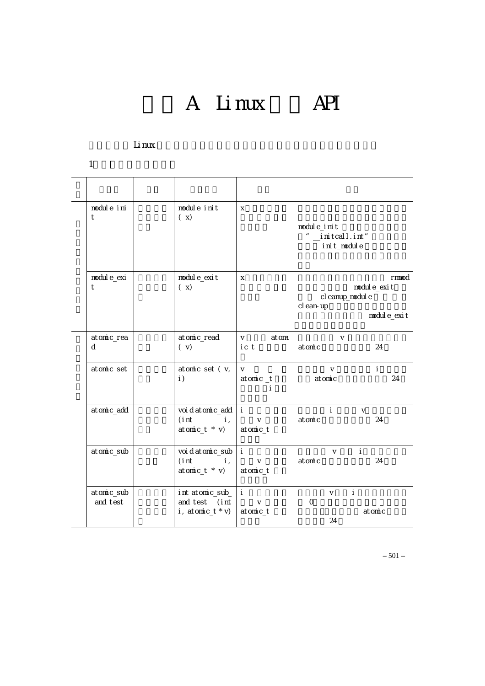A Linux API

#### 以下函数是 Linux 内核提供给用户进行内核级程序开发可以调用的主要函数。

 $1$ 

| modul e_i ni<br>t       | modul e_i ni t<br>(x)                                              | X                                                   | module_init<br>" $\_$ i ni tcal l . i nt"<br>init_module                 |
|-------------------------|--------------------------------------------------------------------|-----------------------------------------------------|--------------------------------------------------------------------------|
| modul e_exi<br>t        | modul e_exi t<br>(x)                                               | X                                                   | rmmod<br>modul e_exi t<br>cl eanup_modul e<br>cl ean-up<br>modul e_exi t |
| atomic_rea<br>d         | atomic_read<br>(v)                                                 | V<br>atom<br>i c_t                                  | $\vee$<br>24<br>atomic                                                   |
| atomic_set              | atomic_set (v,<br>$\vert$ )                                        | $\vee$<br>$atom c_t$<br>÷                           | $\vee$<br>÷<br>24<br>atomic                                              |
| atomic_add              | voi d atomic_add<br>$(int \t i,$<br>$atom c_t * v)$                | $\mathbf{I}$ and $\mathbf{I}$<br>$\vee$<br>atomic_t | $\mathbf{i}$<br>$\vee$<br>atomic<br>24                                   |
| atomic_sub              | voidatomic_sub i<br>$(int \t i,$<br>$atom c_t * v)$                | $\mathsf{V}$<br>atomic_t                            | $\mathbf{i}$<br>$\vee$<br>24<br>atomic                                   |
| atomic_sub<br>_and_test | int atomic_sub_ i<br>and_test (int<br>i, atomic_t $* v$ ) atomic_t | $\vee$                                              | $\mathbf{i}$<br>V<br>$\Omega$<br>atomic<br>24                            |

– 501 –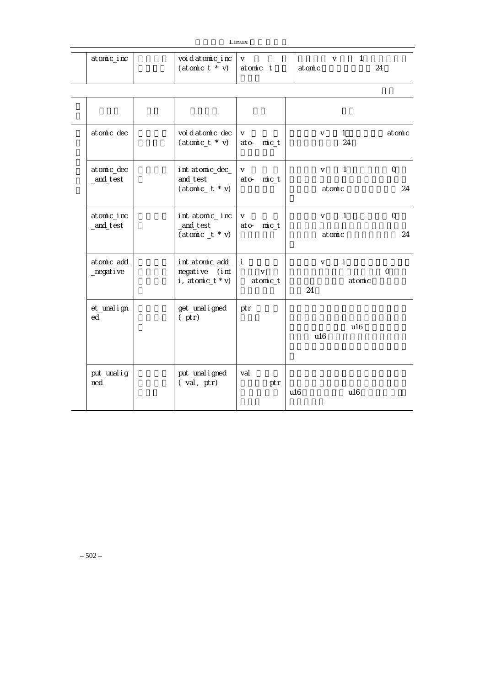|                     |                                      | Linux                                  |                                      |                |
|---------------------|--------------------------------------|----------------------------------------|--------------------------------------|----------------|
| atomic_inc          | voi d atomic_inc<br>$(atom c_t * v)$ | $\mathsf{V}$<br>atomic_t               | $\mathbf{1}$<br>$\vee$<br>atomic     | 24             |
|                     |                                      |                                        |                                      |                |
| atomic_dec          | voi d atomic_dec<br>$(atom c_t * v)$ | $\vee$<br>ato-<br>$m$ <sub>c</sub> $t$ | 1<br>$\vee$<br>24                    | atomic         |
| atomic_dec          | int atomic_dec_                      | $\vee$                                 | $\mathbf{1}$<br>$\vee$               | $\mathsf O$    |
| _and_test           | and_test<br>$(atom c_t * v)$         | $m$ $c_t$<br>ato-                      | atomic                               | 24             |
| atomic_inc          | int atomic_inc                       | $\vee$                                 | $\overline{\phantom{0}}$ 1<br>$\vee$ | $\mathbf{O}$   |
| _and_test           | _and_test<br>$(atom c_t * v)$        | ato-<br>$m$ $c_t$                      | atomic                               | 24             |
| atomic_add          | int atomic_add_                      | ÷                                      | ÷<br>$\vee$                          |                |
| _negative           | negative (int<br>i, atomic $_t * v$  | $\mathsf{V}$<br>atomic_t               | atomic<br>24                         | $\overline{O}$ |
| et_unal i gn<br>ed  | get_unal i gned<br>$(\rho tr)$       | ptr                                    |                                      |                |
|                     |                                      |                                        | u16<br>u16                           |                |
|                     |                                      |                                        |                                      |                |
| put_unal i g<br>ned | put_unal i gned<br>(val, ptr)        | val<br>ptr                             |                                      |                |
|                     |                                      |                                        | u16<br>u16                           |                |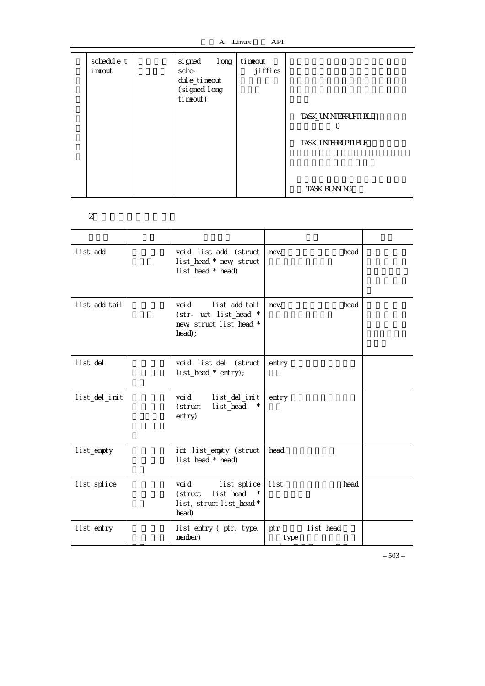| schedul e_t<br>i neout | si gned<br>sche-<br>dul e_ti neout<br>(si gned I ong<br>ti neout) | I ong | ti neout<br>jiffies | TASK_UN NTERRUPTI BLE<br>O<br>TASK_I NTERRUPTI BLE |
|------------------------|-------------------------------------------------------------------|-------|---------------------|----------------------------------------------------|
|                        |                                                                   |       |                     | TASK_RUNN NG                                       |

 $2\overline{a}$ 

| list_add      | void list_add (struct<br>list_head * new struct<br>list_head * head)                | new         | head      |  |
|---------------|-------------------------------------------------------------------------------------|-------------|-----------|--|
| list_add_tail | voi d<br>list_add_tail<br>(str- uct list_head *<br>new struct list_head *<br>head); | new         | head      |  |
| list_del      | void list_del (struct<br>list_head * entry);                                        | entry       |           |  |
| list_del_init | voi d<br>list_del_init<br>(struct<br>list_head<br>entry)                            | entry       |           |  |
| list_empty    | int list_empty (struct<br>list_head * head)                                         | head        |           |  |
| list_splice   | voi d<br>list_splice<br>list_head<br>(struct<br>list, struct list_head *<br>head)   | l i st      | head      |  |
| list_entry    | list_entry (ptr, type,<br>member)                                                   | ptr<br>type | list_head |  |

– 503 –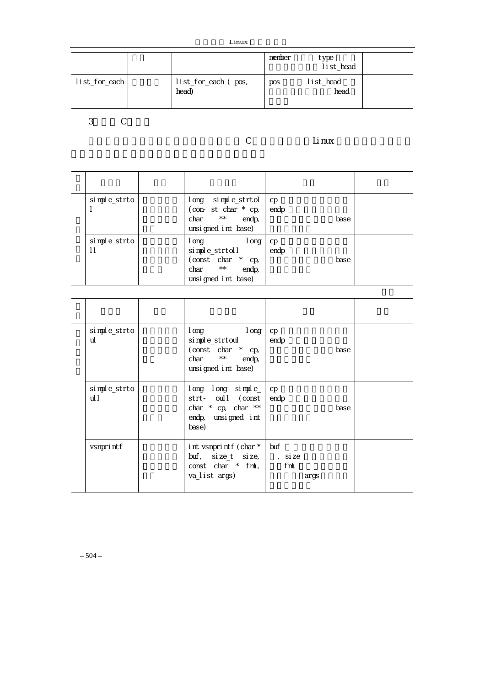| Linux |
|-------|
|-------|

|               |                              | member | type<br>list_head |  |
|---------------|------------------------------|--------|-------------------|--|
| list_for_each | list_for_each (pos,<br>head) | pos    | list_head<br>head |  |

 $3 \t C$ 

### $\sim$  C and  $\sim$  Linux  $\sim$

| simple_strto                 | long simple_strtol<br>(con-st char $*$ cp,<br>$\star\,\star$<br>endp,<br>char<br>unsigned int base)               | cp<br>endp<br>base            |  |
|------------------------------|-------------------------------------------------------------------------------------------------------------------|-------------------------------|--|
| simple_strto<br>$\mathsf{I}$ | I ong<br>I ong<br>simple_strtoll<br>(const char *<br>cp,<br>$\star\,\star$<br>endp,<br>char<br>unsigned int base) | $\mathsf{cp}$<br>endp<br>base |  |

| simple_strto<br>ul   | l ong<br>I ong<br>simple_strtoul<br>(const char * cp,<br>$\star \star$<br>endp,<br>char<br>unsigned int base) | cp<br>endp                    | base |  |
|----------------------|---------------------------------------------------------------------------------------------------------------|-------------------------------|------|--|
| simple_strto<br>ul I | long long simple_<br>strt- oull (const<br>char $*$ cp, char $**$<br>endp, unsigned int<br>base)               | cp<br>endp                    | base |  |
| vsnprintf            | int vsnprintf (char *<br>$buf, size_t$ size_t size,<br>const char $*$ fmt,<br>va_list args)                   | buf<br>, si ze<br>fmt<br>args |      |  |

– 504 –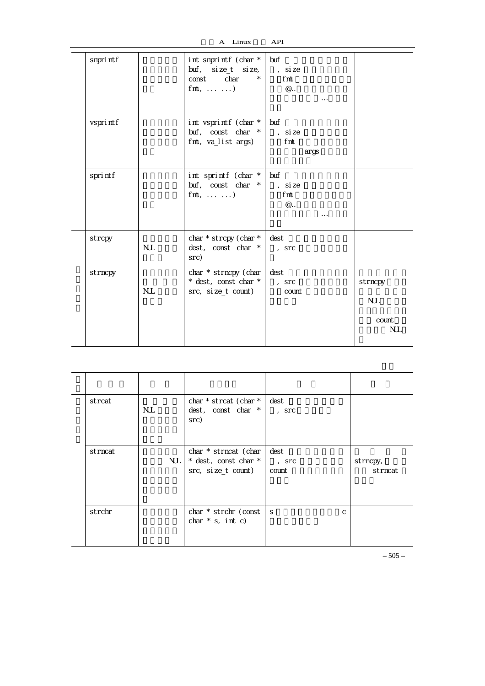| Linux | <b>API</b> |
|-------|------------|
|       |            |

| snprintf |            | int snprintf (char $*$ buf<br>$buf, size_t$ size $_i$<br>$\star$<br>const char<br>$fnt, \ldots \ldots)$ | , si ze<br>fm<br>$@$ .<br>$\cdots$         |                                              |
|----------|------------|---------------------------------------------------------------------------------------------------------|--------------------------------------------|----------------------------------------------|
| vsprintf |            | int vsprintf (char *<br>buf, const char *<br>fmt, va_list args)                                         | buf<br>, si ze<br>fmt<br>args              |                                              |
| sprintf  |            | int sprintf (char *<br>buf, const char *<br>$fnt, \ldots \ldots)$                                       | buf<br>, si ze<br>fmt<br>$@$ .<br>$\cdots$ |                                              |
| strcpy   | <b>NJL</b> | char * strcpy (char *<br>dest, const char *<br>src)                                                     | dest<br>$,$ Src                            |                                              |
| strncpy  | <b>NJL</b> | char * strncpy (char<br>* dest, const char *<br>src, size_t count)                                      | dest<br>$,$ Src<br>count                   | strncpy<br><b>NJL</b><br>count<br><b>NJL</b> |

| strcat  | <b>NUL</b> | char * strcat (char *<br>dest, const char *<br>src)                    | dest<br>$,$ Src          |                     |
|---------|------------|------------------------------------------------------------------------|--------------------------|---------------------|
| strncat | NJL.       | char * strncat (char<br>$*$ dest, const char $*$<br>src, size_t count) | dest<br>$,$ Src<br>count | strncpy,<br>strncat |
| strchr  |            | char * strchr (const<br>char $*$ s, int c)                             | <sub>S</sub><br>C        |                     |

 $-505-$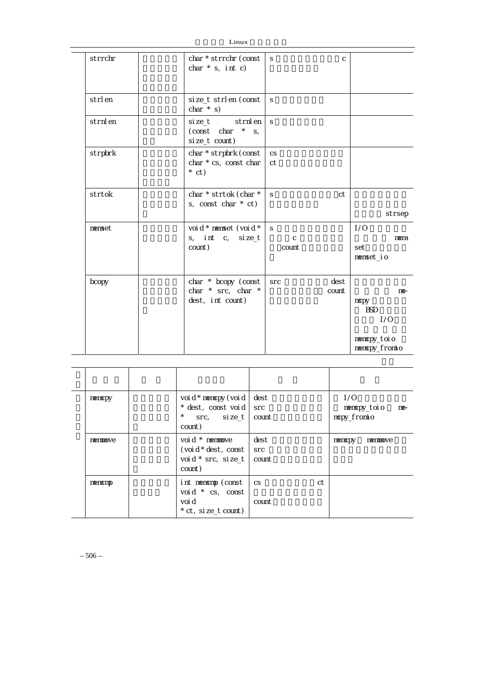|         | LIIUX                                                           |                                      |                                                                    |
|---------|-----------------------------------------------------------------|--------------------------------------|--------------------------------------------------------------------|
| strrchr | char * strrchr (const<br>char $*$ s, int c)                     | S<br>C                               |                                                                    |
| strlen  | size_t strlen (const<br>char $*$ s)                             | S                                    |                                                                    |
| strnlen | size_t strnlen<br>(const char $*$ s,<br>size_t count)           | S                                    |                                                                    |
| strpbrk | char * strpbrk (const<br>char * cs, const char<br>$*$ ct)       | <b>CS</b><br>ct                      |                                                                    |
| strtok  | char * strtok (char *<br>s, const char $*$ ct)                  | ct<br>S                              | strsep                                                             |
| nenset  | voi d * nenset (voi d *<br>s, int c, size_t<br>count)           | <sub>S</sub><br>$\mathsf C$<br>count | 1/0<br>nem<br>set<br>nenset_io                                     |
| bcopy   | char $*$ bcopy (const<br>char * src, char *<br>dest, int count) | dest<br><b>Src</b><br>count          | $me-$<br>mcpy<br><b>BSD</b><br>1/0<br>nencpy_toio<br>nencpy_fromio |

| nencpy  | voi d * nencpy (voi d<br>* dest, const void src<br>$\star$ .<br>$src,$ $size_t$<br>count) | dest<br>count               | 1/0<br>memcpy_toio<br>ne-<br>mcpy_fromio |
|---------|-------------------------------------------------------------------------------------------|-----------------------------|------------------------------------------|
| nenmove | void * memmove<br>(voi d $*$ dest, const<br>void * src, size_t<br>count)                  | dest<br><b>Src</b><br>count | nencpy<br>nenmove                        |
| memomp  | int memomp (const<br>void * cs, const<br>voi d<br>* ct, si ze_t count)                    | ct<br><b>CS</b><br>count    |                                          |

– 506 –

 $Linux$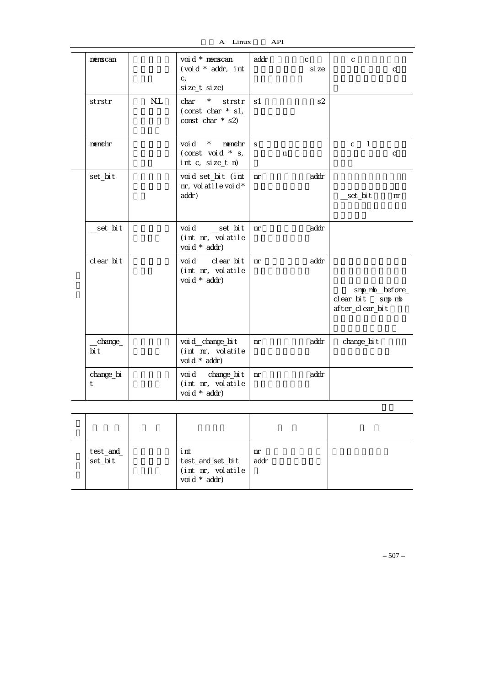A Linux API

| nenscan          |            | voi d * memscan<br>(void * addr, int<br>$C_{1}$<br>size_t size) | addr         | $\mathsf{C}$<br>si ze | $\mathsf{C}$<br>$\mathsf C$                            |
|------------------|------------|-----------------------------------------------------------------|--------------|-----------------------|--------------------------------------------------------|
| strstr           | <b>NJL</b> | char * strstr<br>(const char $*$ s1,<br>const char $*$ s2)      | s1           | s2                    |                                                        |
| nenchr           |            | voi d *<br>nenchr<br>(const void $*$ s,<br>int c, size_t n)     | <sub>S</sub> | n                     | $\mathbf{1}$<br>$\mathsf{C}$<br>$\mathsf{C}$           |
| set_bit          |            | void set_bit (int<br>nr, volatilevoid*<br>addr)                 | nr           | addr                  | __set_bi t<br>nr                                       |
| __set_bi t       |            | void______set_bit<br>(int nr, volatile<br>voi d * addr)         | nr           | addr                  |                                                        |
| cl ear_bi t      |            | void clear_bit<br>(int nr, volatile<br>voi d * addr)            | nr           | addr                  | smp_mb_before_<br>clear_bit smp_mb_<br>after_clear_bit |
| _change_<br>bi t |            | voi d_change_bi t<br>(int nr, volatile<br>voi d * addr)         | nr           | addr                  | change_bi t                                            |
| change_bi<br>t   |            | voi d change_bi t<br>(int nr, volatile<br>voi d * addr)         | nr           | addr                  |                                                        |

| test_and_<br>set_bit | i nt<br>test_and_set_bi t<br>(int nr, volatile<br>voi d * addr) | nr<br>addr |  |
|----------------------|-----------------------------------------------------------------|------------|--|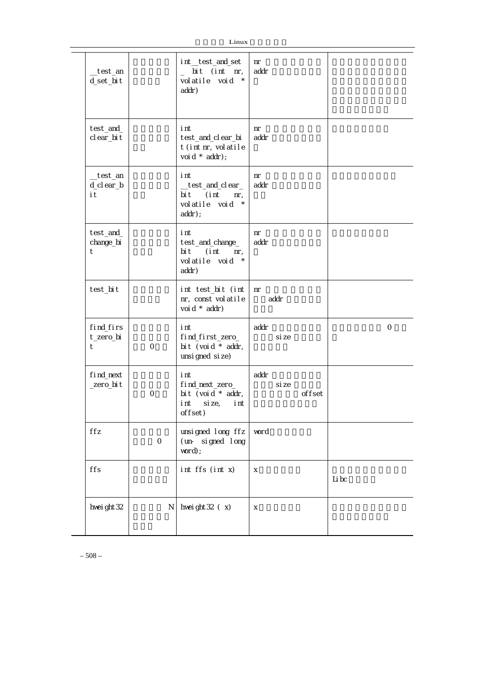| _test_an<br>d_set_bit         |              | int_test_and_set<br>bit (int nr,<br>$\overline{a}$<br>volatile void *<br>addr)             | nr<br>addr              |                |
|-------------------------------|--------------|--------------------------------------------------------------------------------------------|-------------------------|----------------|
| test_and_<br>cl ear_bi t      |              | i nt<br>test_and_clear_bi<br>t (int nr, volatile<br>voi d * addr);                         | nr<br>addr              |                |
| _test_an<br>d_cl ear_b<br>i t |              | i nt<br>_test_and_clear_<br>bi t<br>(i nt<br>$nr_{1}$<br>volatile void *<br>$addr)$ ;      | nr<br>addr              |                |
| test_and_<br>change_bi<br>t   |              | i nt<br>test_and_change_<br>bi t<br>i nt)<br>$nr_{1}$<br>$\star$<br>volatile void<br>addr) | nr<br>addr              |                |
| test_bit                      |              | int test_bit (int<br>nr, const volatile<br>voi d * addr)                                   | nr<br>addr              |                |
| find_firs<br>t_zero_bi<br>t   | $\mathsf{O}$ | i nt<br>find_first_zero_<br>bit (void * addr,<br>unsi gned si ze)                          | addr<br>si ze           | $\overline{O}$ |
| find_next<br>_zero_bit        | $\mathbf 0$  | i nt<br>find_next_zero_<br>bit (void $*$ addr,<br>si ze,<br>i nt<br>i nt<br>offset)        | addr<br>si ze<br>offset |                |
| ffz                           | $\mbox{O}$   | unsigned long ffz<br>(un- signed long<br>$word$ ;                                          | vor d                   |                |
| ffs                           |              | int ffs (int x)                                                                            | X                       | Li bc          |
| hvei ght 32                   | N            | hvei ght $32(x)$                                                                           | X                       |                |

– 508 –

Ц.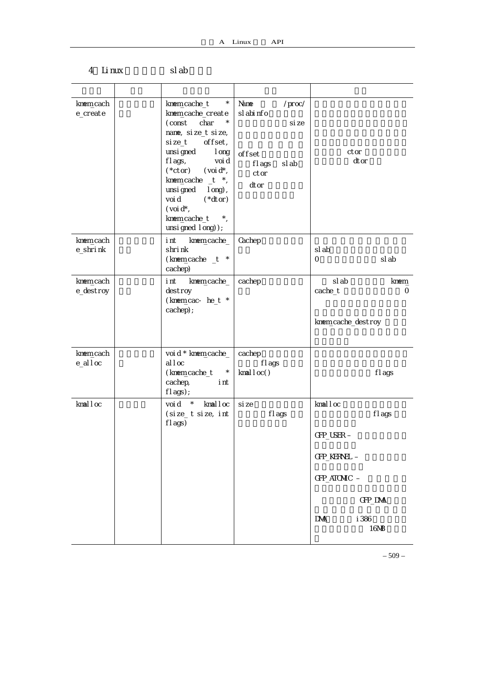| $\star$<br>knem_cache_t<br>knem_cache_create<br>(const char<br>nane, si ze_t si ze,<br>size_t offset,<br>unsigned long<br>fl ags,<br>voi d<br>$(*ctor)$ (voi d*,<br>knem_cache _t *,<br>unsigned long),<br>$(*dtor)$<br>voi d<br>(voi d <sup>*</sup> ,<br>knem_cache_t *,<br>unsi gned I ong) ); | Name<br>$/$ proc $/$<br>sl abi nfo<br>si ze<br>offset<br>fl ags<br>sl ab<br>ctor<br>dtor | ctor<br>dtor                                                               |
|--------------------------------------------------------------------------------------------------------------------------------------------------------------------------------------------------------------------------------------------------------------------------------------------------|------------------------------------------------------------------------------------------|----------------------------------------------------------------------------|
| knem_cache_<br>i nt<br>shri nk<br>(knem_cache _t *<br>cachep)                                                                                                                                                                                                                                    | Cachep                                                                                   | sl ab<br>sl ab<br>0                                                        |
| i nt<br>knem_cache_<br>destroy<br>(knem_cac- he_t *<br>cachep);                                                                                                                                                                                                                                  | cachep                                                                                   | sl ab<br>knem<br>cache_t<br>0<br>knem_cache_destroy                        |
| voi d * knem_cache_<br>al I oc<br>(knem_cache_t *<br>cachep,<br>i nt<br>fl ags);                                                                                                                                                                                                                 | cachep<br>fl ags<br>kmalloc()                                                            | fl ags                                                                     |
| void * kmalloc<br>(size_t size, int<br>fl ags)                                                                                                                                                                                                                                                   | si ze<br>fl ags                                                                          | kmalloc<br>fl ags<br>GFP_USER -<br>GFP_KERNEL -<br>GFP_ATOMIC -<br>GFP_DNA |
|                                                                                                                                                                                                                                                                                                  |                                                                                          |                                                                            |

4 Linux slab

– 509 –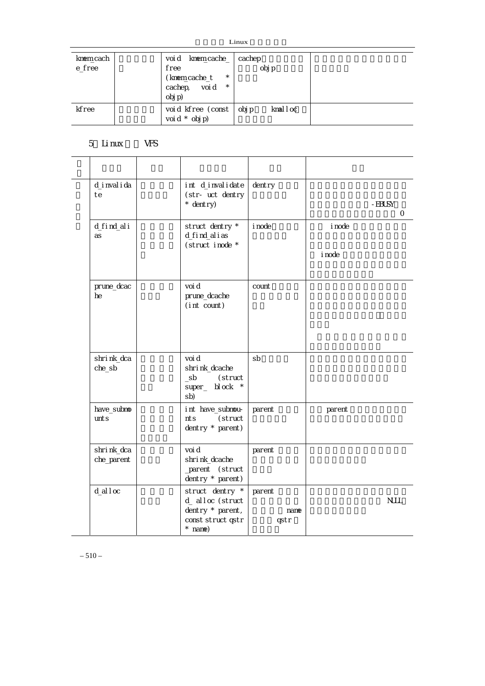| Linux |
|-------|
|-------|

|                                | Linux |                                    |                                       |                    |        |          |  |
|--------------------------------|-------|------------------------------------|---------------------------------------|--------------------|--------|----------|--|
| knem <sub>cach</sub><br>e_free |       | voi d<br>free<br>cachep,<br>obj p) | knem_cache_<br>(knem_cache_t<br>voi d | $\star$<br>$\star$ | cachep | obj p    |  |
| kfree                          |       |                                    | void kfree (const<br>voi d $*$ obj p) |                    | obj p  | kmal loc |  |

## 5 Linux VFS

| d_i nval i da<br>te            | int d_invalidate<br>(str- uct dentry<br>$*$ dentry)                                         | dentry                 |                  | - EBUSY<br>$\mathsf{O}\xspace$ |
|--------------------------------|---------------------------------------------------------------------------------------------|------------------------|------------------|--------------------------------|
| d_find_ali<br>as               | struct dentry *<br>d_find_alias<br>(struct inode *                                          | i node                 | i node<br>i node |                                |
| pr une_dcac<br>he              | voi d<br>pr une_dcache<br>(int count)                                                       | count                  |                  |                                |
| shrink_dca<br>che_sb           | voi d<br>shrink_dcache<br>(struct<br>sb<br>super_ bl ock *<br>sb)                           | sb                     |                  |                                |
| have_subno<br>unt <sub>S</sub> | int have_subnou-<br>(struct<br>nts<br>dentry $*$ parent)                                    | parent                 | parent           |                                |
| shrink_dca<br>che_parent       | voi d<br>shri nk_dcache<br>_parent (struct<br>dentry * parent)                              | parent                 |                  |                                |
| $d$ alloc                      | struct dentry *<br>d_ alloc (struct<br>dentry $*$ parent,<br>const struct qstr<br>$*$ name) | parent<br>name<br>qstr |                  | <b>NULL</b>                    |

 $-510-$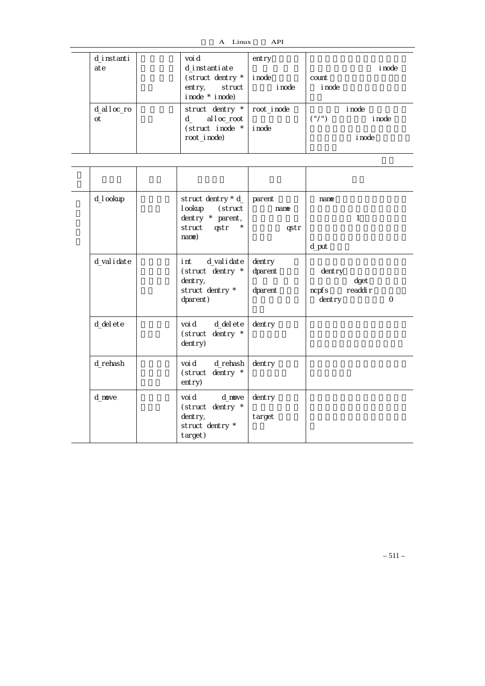A Linux API

| d_instanti<br>ate |  | voi d<br>d instantiate<br>(struct dentry *<br>entry, struct<br>i node * i node) | entry<br>i node<br>i node   | count<br><i>i</i> node | <i>i</i> node                     |
|-------------------|--|---------------------------------------------------------------------------------|-----------------------------|------------------------|-----------------------------------|
| d_alloc_ro<br>ot  |  | struct dentry *<br>alloc_root<br>d l<br>(struct inode *<br>root_i node)         | root inode<br><i>i</i> node | ("/")                  | i node<br><i>i</i> node<br>i node |

| d_I ookup    | struct dentry $* d$<br>I ookup<br>(struct<br>dentry * parent,<br>struct gstr<br>$\star$<br>nane) | parent<br>name<br>qstr          | nane<br>$\mathbf{1}$<br>d_put                                        |
|--------------|--------------------------------------------------------------------------------------------------|---------------------------------|----------------------------------------------------------------------|
| d_val i date | d_val i date<br>i nt<br>(struct dentry *<br>dentry,<br>struct dentry *<br>dparent)               | $d$ entry<br>dparent<br>dparent | dentry<br>dget<br>readdi r<br>ncpf <sub>S</sub><br>dentry<br>$\circ$ |
| d_del ete    | d_del ete<br>voi d<br>(struct dentry *<br>dentry)                                                | dentry                          |                                                                      |
| d_rehash     | voi d<br>d_rehash<br>(struct dentry *<br>entry)                                                  | $d$ entry                       |                                                                      |
| d nove       | voi d<br>d nove<br>(struct dentry *<br>dentry,<br>struct dentry *<br>target)                     | dentry<br>target                |                                                                      |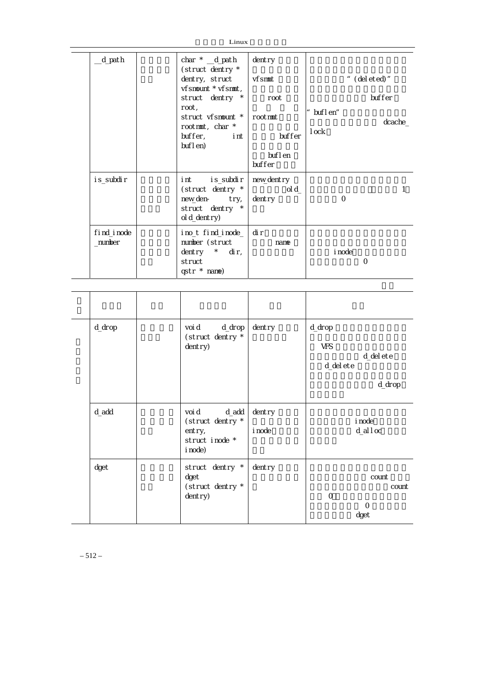| _d_path              | char $*$ $_d$ path<br>(struct dentry *                                                        | dentry                        |                    |              |
|----------------------|-----------------------------------------------------------------------------------------------|-------------------------------|--------------------|--------------|
|                      | dentry, struct<br>vfsmount * vfsmmt,                                                          | vfsmmt                        |                    | " (deleted)" |
|                      | struct dentry *                                                                               | root                          |                    | buffer       |
|                      | root,<br>struct vfsmount *  <br>rootmmt, char *<br>buffer,<br>int i                           | rootmmt<br>buffer             | buflen"<br>$1$ ock | dcache_      |
|                      | buflen)                                                                                       | buf l en<br>buffer            |                    |              |
| i s_subdi r          | is_subdir  <br>i nt<br>(struct dentry *<br>new_den- try,<br>struct dentry *<br>$ol$ d_dentry) | nevv_dentry<br>ol d<br>dentry | $\circ$            | 1            |
| find_inode<br>number | ino_t find_inode_  <br>number (struct<br>dentry $*$ dir,<br>struct<br>qstr * name)            | di r<br>name                  | <i>i</i> node      | 0            |

 $Linux$ 

| d_drop | voi d<br>d_drop<br>(struct dentry *<br>dentry)                            | dentry           | $d/dr$ op<br><b>VFS</b><br>d_del ete<br>d_del ete<br>d_drop |
|--------|---------------------------------------------------------------------------|------------------|-------------------------------------------------------------|
| d_add  | voi d<br>d_add<br>(struct dentry *<br>entry,<br>struct inode *<br>i node) | dentry<br>i node | i node<br>$d$ alloc                                         |
| dget   | struct dentry *<br>dget<br>(struct dentry *<br>$d$ entry)                 | dentry           | count<br>count<br>$\circ$<br>$\Omega$<br>dget               |

 $-512-$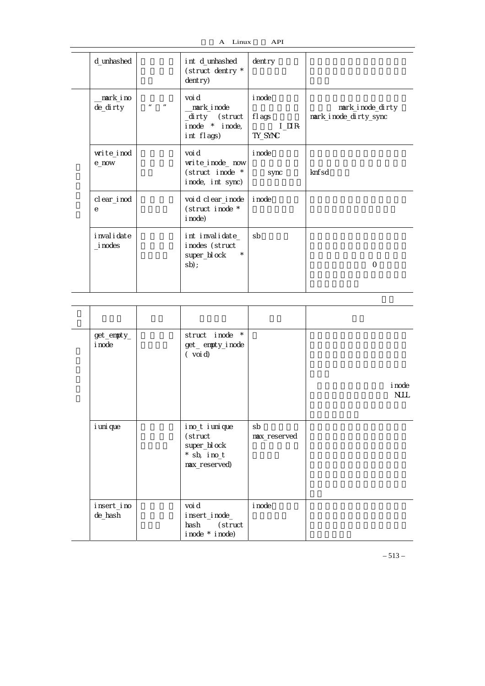| Linux<br>______ | <b>API</b> |
|-----------------|------------|
|                 |            |

| d_unhashed                   |                                           | int d_unhashed<br>(struct dentry *<br>dentry)                          | dentry                                         |                                           |
|------------------------------|-------------------------------------------|------------------------------------------------------------------------|------------------------------------------------|-------------------------------------------|
| _mark_ino<br>de_dirty        | $\boldsymbol{\mathit{u}}$<br>$\mathbf{u}$ | voi d<br>_mark_inode<br>_dirty (struct<br>inode * inode,<br>int flags) | <i>i</i> node<br>fl ags<br>$I$ DIR-<br>TY_SYNC | mark_inode_dirty<br>mark_inode_dirty_sync |
| write_inod<br>e now          |                                           | voi d<br>write_inode_now<br>(struct inode *<br>inode, int sync)        | <i>i</i> node<br>sync                          | knf <sub>sd</sub>                         |
| clear_inod<br>e              |                                           | voi d cl ear_i node<br>(struct inode *<br>i node)                      | <i>i</i> node                                  |                                           |
| i nval i date<br>$\_i$ nodes |                                           | int invalidate_<br>inodes (struct<br>$\star$<br>super_bl ock<br>$sb$ ; | sb                                             | $\Omega$                                  |

| $get$ _empty_<br>i node | struct inode *<br>get_empty_inode<br>(voi d)                                  |                    | i node<br><b>NULL</b> |
|-------------------------|-------------------------------------------------------------------------------|--------------------|-----------------------|
|                         |                                                                               |                    |                       |
| i uni que               | i no_t i uni que<br>(struct<br>super_bl ock<br>$*$ sb, ino_t<br>max_reserved) | sb<br>max_reserved |                       |
| insert_ino<br>de_hash   | voi d<br>insert_inode_<br>hash (struct<br>i node * i node)                    | i node             |                       |

– 513 –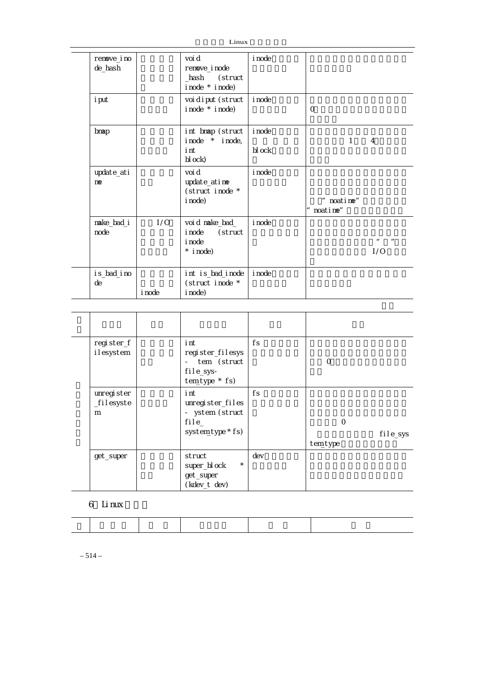| Linux                  |        |                                                                      |                  |                        |                       |  |
|------------------------|--------|----------------------------------------------------------------------|------------------|------------------------|-----------------------|--|
| renove_i no<br>de_hash |        | voi d<br>renove_inode<br>_hash (struct<br>i node * i node)           | i node           |                        |                       |  |
| i put                  |        | voi di put (struct<br>inode * inode)                                 | i node           | $\Omega$               |                       |  |
| bmap                   |        | int bmap (struct<br>$i$ node $*$ i node,<br>i nt<br>bl ock)          | i node<br>bl ock | $\mathbf{1}$           | $\overline{4}$        |  |
| update_ati<br>me       |        | voi d<br>update_atime<br>(struct inode *<br>i node)                  | i node           | " noatime"<br>noatime" |                       |  |
| make_bad_i<br>node     | 1/0    | voi d make_bad_<br>(struct<br>i node<br><i>i</i> node<br>$*$ i node) | i node           |                        | $\overline{u}$<br>1/0 |  |
| i s_bad_i no<br>de     | i node | int is_bad_inode<br>(struct inode *<br>i node)                       | <i>i</i> node    |                        |                       |  |

| register_f<br>ilesystem        | i nt<br>register_filesys<br>tem (struct<br>file_sys-<br>tem_type * fs)    | fs  | O                   |          |
|--------------------------------|---------------------------------------------------------------------------|-----|---------------------|----------|
| unregi ster<br>_filesyste<br>m | i nt<br>unregister_files<br>- ystem (struct<br>file_<br>system_type * fs) | fs  | $\circ$<br>tem_type | file_sys |
| get_super                      | struct<br>$\star$<br>super_bl ock<br>get_super<br>(kdev_t dev)            | dev |                     |          |

## 6 Linux

 $-514-$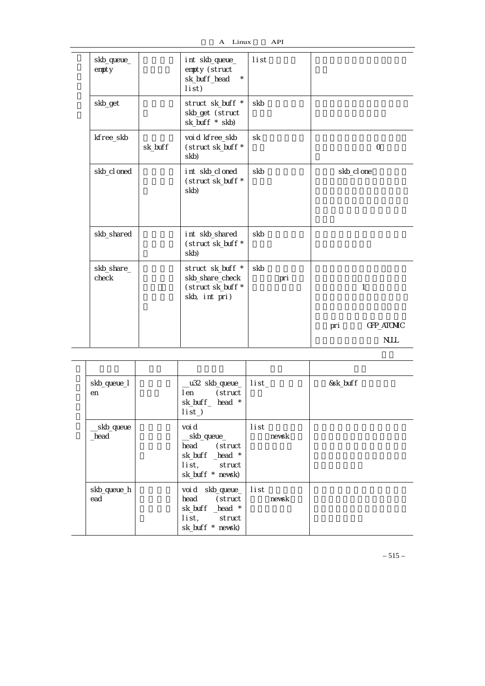| skb_queue_<br>empty |         | int skb_queue_<br>empty (struct<br>$\star$<br>sk_buff_head<br>list)       | list       |                   |
|---------------------|---------|---------------------------------------------------------------------------|------------|-------------------|
| skb_get             |         | struct sk_buff *<br>skb_get (struct<br>sk_buff * skb)                     | skb        |                   |
| kfree_skb           | sk_buff | void kfree_skb<br>(struct sk_buff *<br>skb)                               | sk         | $\Omega$          |
| skb_cl oned         |         | int skb_cl oned<br>(struct sk_buff *<br>skb)                              | skb        | skb_cl one        |
| skb_shared          |         | int skb_shared<br>(struct sk_buff *<br>skb)                               | skb        |                   |
| skb_share_<br>check |         | struct sk_buff *<br>skb_share_check<br>(struct sk_buff *<br>skb, int pri) | skb<br>pri | 1                 |
|                     |         |                                                                           |            | GFP_ATOMIC<br>pri |
|                     |         |                                                                           |            | <b>NJLL</b>       |

| skb_queue_l        | _u32 skb_queue_ list_                                                                        |      |       | &sk_buff |  |
|--------------------|----------------------------------------------------------------------------------------------|------|-------|----------|--|
| en                 | len (struct<br>sk_buff_ head *<br>$list$ )                                                   |      |       |          |  |
| _skb_queue<br>head | voi d<br>__skb_queue_<br>head (struct<br>sk_buff _head *<br>list, struct<br>sk_buff * newsk) | list | newsk |          |  |
| skb_queue_h<br>ead | void skb_queue_ list<br>head (struct<br>sk_buff _head *<br>list, struct<br>sk_buff * nevsk)  |      | newsk |          |  |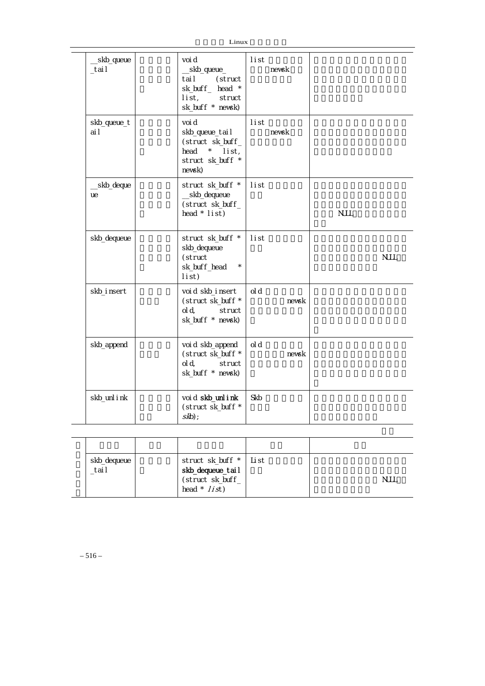| Linux                |                                                                                                    |                 |             |  |  |  |
|----------------------|----------------------------------------------------------------------------------------------------|-----------------|-------------|--|--|--|
| _skb_queue<br>_tai I | voi d<br>_skb_queue_<br>(struct<br>tai I<br>sk_buff_ head *<br>list,<br>struct<br>sk_buff * nevsk) | l i st<br>newsk |             |  |  |  |
| skb_queue_t<br>ai I  | voi d<br>skb_queue_tail<br>(struct sk_buff_<br>head<br>* list,<br>struct sk_buff *<br>nevsk)       | li st<br>nevsk  |             |  |  |  |
| _skb_deque<br>ue     | struct sk_buff *<br>__skb_dequeue<br>(struct sk_buff_<br>head $*$ list)                            | list            | <b>NJLL</b> |  |  |  |
| skb_dequeue          | struct sk_buff *<br>skb_dequeue<br>(struct<br>sk_buff_head<br>$\star$<br>list)                     | list            | <b>NULL</b> |  |  |  |
| skb_i nsert          | voi d skb_i nsert<br>(struct sk_buff *<br>ol d,<br>struct<br>sk_buff * newsk)                      | ol d            | nevsk       |  |  |  |
| skb_append           | voi d skb_append<br>(struct sk_buff *<br>ol d,<br>struct<br>sk_buff * nevsk)                       | ol d            | newsk       |  |  |  |
| skb_unl i nk         | voi d skb_unl i nk<br>(struct sk_buff *<br>$skb$ );                                                | Skb             |             |  |  |  |

| skb_dequeue<br>_tai I | struct sk_buff *   List<br><b>skb_dequeue_tail</b><br>(struct sk_buff_<br>head $*$ // $st$ ) | NJLL |
|-----------------------|----------------------------------------------------------------------------------------------|------|

 $-516-$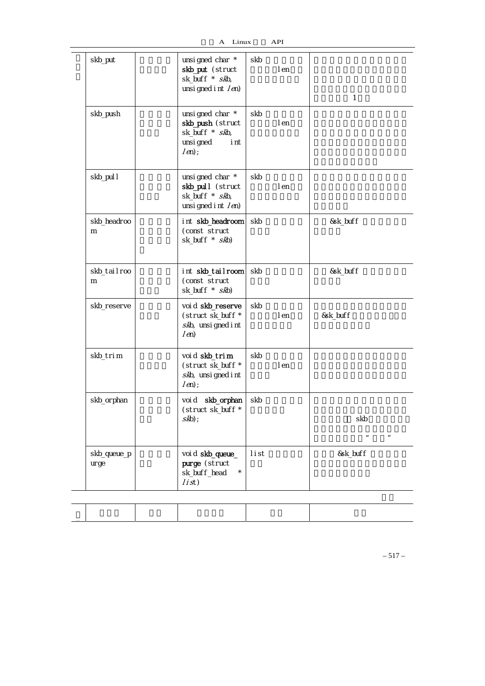$\overline{\phantom{a}}$ 

| skb_put              | unsi gned char *<br>skb_put (struct<br>sk_buff * skb,<br>unsi gned i nt $(m)$         | skb  | I en | $\mathbf{1}$                            |
|----------------------|---------------------------------------------------------------------------------------|------|------|-----------------------------------------|
| skb_push             | unsigned char *<br>skb_push (struct<br>sk_buff * skb,<br>unsi gned<br>i nt<br>$(m)$ ; | skb  | I en |                                         |
| skb_pul I            | unsi gned char *<br>skb_pull (struct<br>sk_buff * skb,<br>unsi gned i nt $(m)$        | skb  | I en |                                         |
| skb_headroo<br>m     | int skb_headroom<br>(const struct<br>sk_buff * skb)                                   | skb  |      | &sk_buff                                |
| skb_tailroo<br>m     | int skb_tailroom<br>(const struct<br>sk_buff * skb)                                   | skb  |      | &sk_buff                                |
| skb_reserve          | voi d skb_reserve<br>(struct sk_buff *<br>skb, unsi gned i nt<br>(m)                  | skb  | I en | &sk_buff                                |
| skb_trim             | voi d skb_trim<br>(struct sk_buff *<br>skb, unsi gned i nt<br>$(m)$ ;                 | skb  | I en |                                         |
| skb_orphan           | skb_orphan<br>voi d<br>(struct sk_buff *<br>$skb)$ ;                                  | skb  |      | skb<br>$\mathbf{u}$<br>$\boldsymbol{n}$ |
| skb_queue_p<br>ur ge | voi d skb_queue_<br>purge (struct<br>sk_buff_head<br>1/5t)                            | list |      | &sk_buff                                |
|                      |                                                                                       |      |      |                                         |
|                      |                                                                                       |      |      |                                         |

函数名 功能 函数形成 参数 描述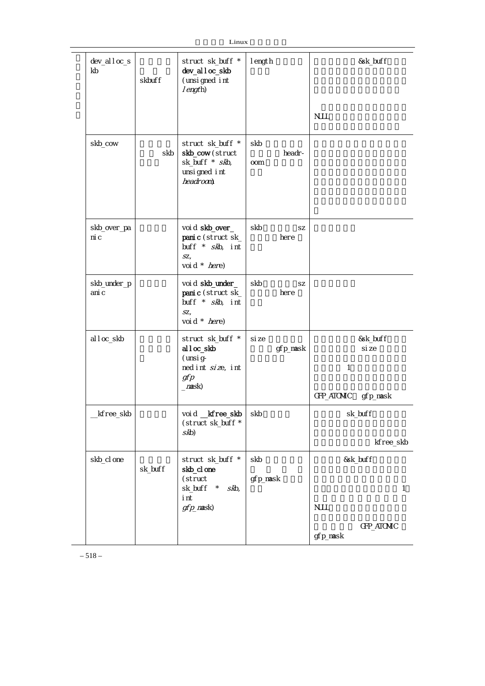| Linux |
|-------|
|-------|

|                      |         | LIIIUX                                                                                               |                 |            |              |                          |
|----------------------|---------|------------------------------------------------------------------------------------------------------|-----------------|------------|--------------|--------------------------|
| dev_alloc_s<br>kb    | skbuff  | struct sk_buff *<br>dev_alloc_skb<br>(unsi gned int<br>I ength)                                      | I ength         |            |              | &sk_buff                 |
|                      |         |                                                                                                      |                 |            | <b>NJLL</b>  |                          |
| skb_cow              | skb     | struct sk_buff *<br>skb_cow(struct<br>sk_buff * skb,<br>unsi gned int<br>headroom)                   | skb<br>oom      | headr-     |              |                          |
| skb_over_pa<br>ni c  |         | voi d skb_over_<br>panic (struct sk_<br>buff * skb, int<br>SZ <sub>1</sub><br>voi d * here)          | skb             | SZ<br>here |              |                          |
| skb_under_p<br>ani c |         | voi d skb_under_<br>panic (struct sk_<br>buff * skb, int<br>SZ <sub>1</sub><br>voi d * <i>here</i> ) | skb             | SZ<br>here |              |                          |
| alloc_skb            |         | struct sk_buff *<br>al I oc_skb<br>(unsi g-<br>ned int size, int<br>gfp<br>max(k)                    | si ze           | gfp_mask   | $\mathbf{1}$ | &sk_buff<br>si ze        |
|                      |         |                                                                                                      |                 |            | GFP_ATOMIC   | gfp_mask                 |
| _kfree_skb           |         | void _kfree_skb<br>(struct sk_buff *<br>skb)                                                         | skb             |            |              | sk_buff                  |
|                      |         |                                                                                                      |                 |            |              | kfree_skb                |
| skb_cl one           | sk_buff | struct sk_buff *<br>skb_cl one<br>(struct<br>sk_buff<br>$\star$<br>skb,<br>i nt<br>gfp_nask)         | skb<br>gfp_mask |            | <b>NJLL</b>  | &sk_buff<br>$\mathbf{1}$ |
|                      |         |                                                                                                      |                 |            | gfp_mask     | GFP_ATOMIC               |

 $-518-$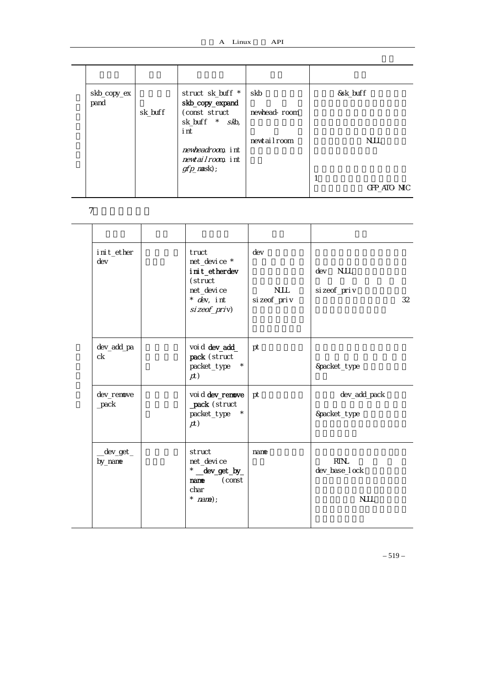| skb_copy_ex |         | struct sk_buff *  | skb          | &sk_buff    |
|-------------|---------|-------------------|--------------|-------------|
| pand        |         | skb_copy_expand   |              |             |
|             | sk_buff | (const struct     | newhead-room |             |
|             |         | sk_buff * skb,    |              |             |
|             |         | i nt              |              |             |
|             |         |                   | newtailroom  | <b>NULL</b> |
|             |         | newheadroom, int  |              |             |
|             |         | newtailroom, int  |              |             |
|             |         | $gfp$ _mask $)$ ; |              |             |
|             |         |                   |              |             |
|             |         |                   |              | GFP ATO MIC |

7.网络设备支持

| i ni t_ether<br>dev   | truct<br>net_device *<br>i ni t_etherdev<br>(struct<br>net_devi ce<br>* dev, int<br>$si$ zeof_priv) | dev<br><b>NJLL</b><br>si zeof_pri v | <b>NJLL</b><br>dev<br>si zeof_pri v<br>32    |
|-----------------------|-----------------------------------------------------------------------------------------------------|-------------------------------------|----------------------------------------------|
| dev_add_pa<br>ck      | voi d dev_add_<br>pack (struct<br>$\star$<br>packet_type<br>p(t)                                    | pt                                  | &packet_type                                 |
| dev_remove<br>$2pack$ | voi d dev_renove<br>_pack (struct<br>packet_type<br>$^{\star}$<br>p(t)                              | pt                                  | dev_add_pack<br>&packet_type                 |
| _dev_get_<br>by_nane  | struct<br>net_devi ce<br>* _dev_get_by_<br>(const<br>nane<br>char<br>* $name)$ ;                    | name                                | <b>RTNL</b><br>dev_base_I ock<br><b>NJLL</b> |

– 519 –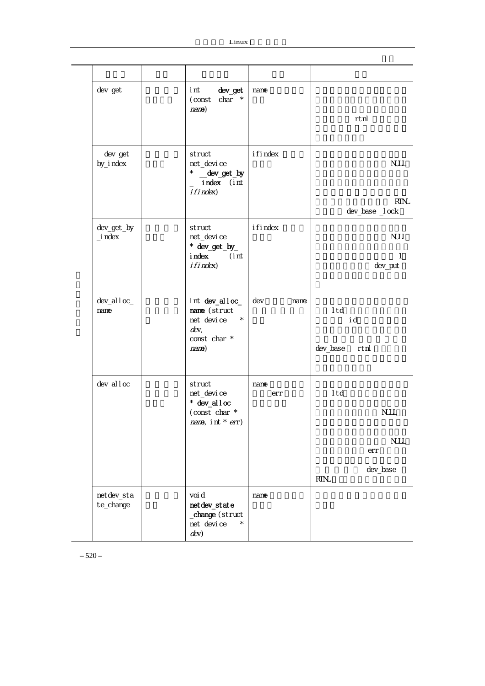| dev_get                  | dev_get<br>i nt<br>$char *$<br>(const<br>name)                                            | name        | rtnl                                                                |
|--------------------------|-------------------------------------------------------------------------------------------|-------------|---------------------------------------------------------------------|
| _dev_get_<br>by_i ndex   | struct<br>net_devi ce<br>* _dev_get_by<br>_ index (int<br>i fi ndex)                      | i fi ndex   | <b>NJLL</b><br><b>RTN</b><br>dev_base _l ock                        |
| dev_get_by<br>$\_i$ ndex | struct<br>net_devi ce<br>* dev_get_by_<br>i ndex<br>(int<br>i fi ndex)                    | i fi ndex   | <b>NJLL</b><br>1<br>dev_put                                         |
| dev_al l oc_<br>nane     | int dev_alloc_<br>name (struct<br>net_devi ce<br>$\star$<br>dev,<br>const char *<br>name) | dev<br>name | I td<br>i d<br>dev_base rtnl                                        |
| dev_al I oc              | struct<br>net_devi ce<br>$*$ dev_alloc<br>(const char *<br>nane, int $*$ err)             | name<br>err | I td<br><b>NJLL</b><br><b>NJLL</b><br>err<br>dev_base<br><b>RTN</b> |
| netdev_sta<br>te_change  | voi d<br>netdev_state<br>_change (struct<br>net_devi ce<br>$^{\star}$<br>dev)             | name        |                                                                     |

– 520 –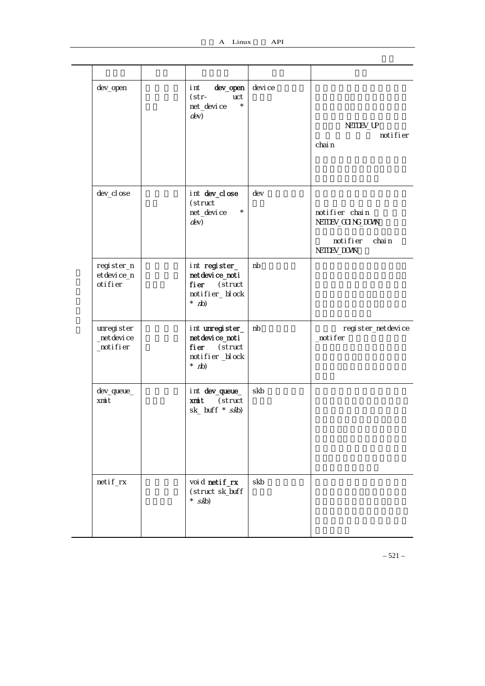$\overline{a}$ 

 $\mathcal{L}$ 

| dev_open                                | dev_open<br>i nt<br>$(str -$<br>uct<br>$\star$<br>net_devi ce<br>dev)              | devi ce | NETDEV_UP<br>noti fi er<br>chai n                                          |
|-----------------------------------------|------------------------------------------------------------------------------------|---------|----------------------------------------------------------------------------|
| dev_cl ose                              | int dev_close<br>(struct<br>net_devi ce<br>$\star$<br>dev)                         | dev     | notifier chain<br>NETDEV_GOING_DOWN<br>noti fi er<br>chai n<br>NETDEV_DOVN |
| register_n<br>et devi ce_n<br>oti fi er | int register_<br>netdevice_noti<br>fier (struct<br>notifier_block<br>$*$ (d)       | nb      |                                                                            |
| unregister<br>_net devi ce<br>_notifier | int unregister_<br>netdevice_noti<br>fier (struct<br>notifier_block<br>$*$ (dn $*$ | nb      | register_netdevice<br>_notifer                                             |
| dev_queue_<br>xmit                      | int dev_queue_<br>xmit (struct<br>$sk_b$ buff $*$ $skb)$                           | skb     |                                                                            |
| netif_rx                                | void netif_rx<br>(struct sk_buff<br>* $skb$                                        | skb     |                                                                            |

– 521 –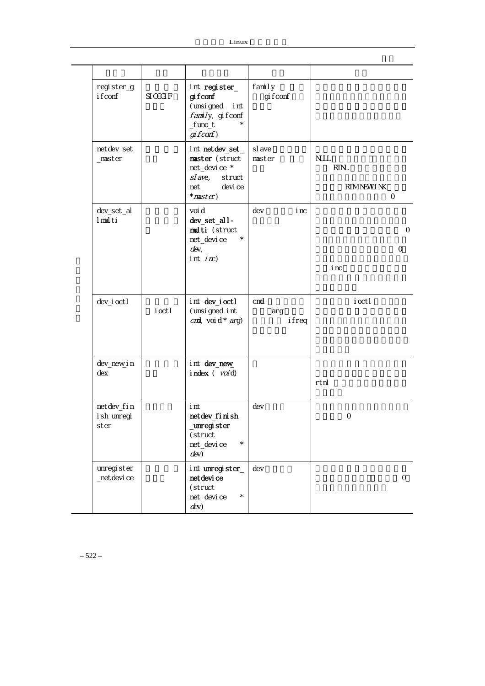| register_g<br>i f conf            | $SI$ $O$ $O$ $H$ $F$ | int register_<br>gi fconf<br>(unsi gned<br>i nt<br>family, gifconf<br>$f$ unc $_t$                                            | family<br>gi f conf |                                                                  |
|-----------------------------------|----------------------|-------------------------------------------------------------------------------------------------------------------------------|---------------------|------------------------------------------------------------------|
| netdev_set<br>$max$               |                      | gi fconf)<br>int netdev_set_<br>master (struct<br>net_device *<br>$s$ / $a$ ve,<br>struct<br>$net_$<br>devi ce<br>$*$ master) | sl ave<br>master    | <b>NJLL</b><br><b>RTN</b><br><b>RTM_NEVILINK</b><br>$\mathsf{O}$ |
| dev_set_al<br>I mul ti            |                      | voi d<br>dev_set_all-<br>multi (struct<br>net_devi ce<br>$d$ ev,<br>int $i \pi$ )                                             | dev<br>i nc         | 0<br>0<br>i nc                                                   |
| dev_i octl                        | i octl               | int dev_joctl<br>(unsi gned int<br>$c$ <i>nd</i> , voi d * $arg$ )                                                            | cmd<br>arg<br>ifreq | i octl                                                           |
| dev_new_i n<br>dex                |                      | int dev_new_<br>$i$ ndex $(voi)$                                                                                              |                     | rtnl                                                             |
| netdev_fin<br>i sh_unregi<br>ster |                      | i nt<br>netdev_fi ni sh<br>unregister<br>(struct<br>net_devi ce<br>$^{\star}$<br>dev)                                         | dev                 | $\mathbf{O}$                                                     |
| unregister<br>_net devi ce        |                      | int unregister_<br>net devi ce<br>(struct<br>net_devi ce<br>$\star$<br>dev)                                                   | dev                 | $\mathcal{O}$                                                    |

– 522 –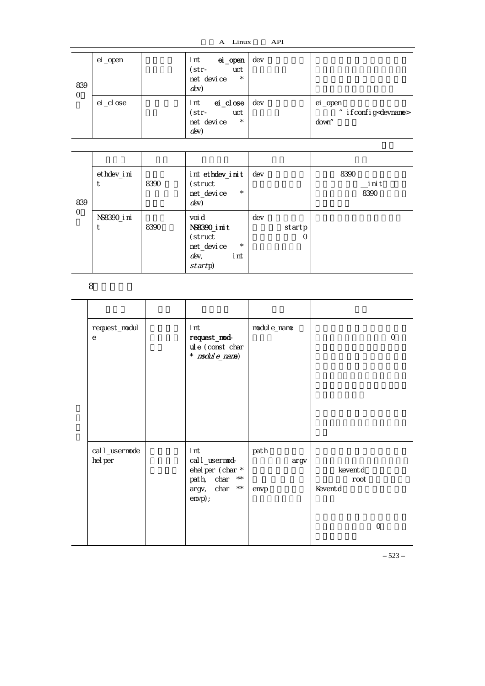| 839<br>$\mathcal{O}$ | ei _open   | ei_open<br>i nt<br>uct<br>$(str -$<br>net_devi ce<br>$\star$<br>dev) | dev |                                                       |  |  |  |
|----------------------|------------|----------------------------------------------------------------------|-----|-------------------------------------------------------|--|--|--|
|                      | ei _cl ose | ei _cl ose<br>i nt<br>uct<br>(str-<br>net_devi ce<br>$\star$<br>dev  | dev | ei _open<br>" if config <devname><br/>down"</devname> |  |  |  |

| 839<br>$\circ$ | ethdev_i ni | 8390 | int ethdev_init<br>(struct<br>$\star$<br>net_devi ce<br>$dev$ )                        | dev |                    | 8390<br>init<br>8390 |
|----------------|-------------|------|----------------------------------------------------------------------------------------|-----|--------------------|----------------------|
|                | NS8390_i ni | 8390 | voi d<br>NS8390_i ni t<br>(struct<br>$\star$<br>net_devi ce<br>dev,<br>i nt<br>startp) | dev | startp<br>$\left($ |                      |

8.模块支持

| request_modul<br>$\mathbf e$ | i nt<br>request_mod-<br>ul e (const char<br>$*$ nodul $e\_name$ )                                                      | modul e_name         |                            | $\mathcal{O}$ |
|------------------------------|------------------------------------------------------------------------------------------------------------------------|----------------------|----------------------------|---------------|
| cal I_usermode<br>hel per    | i nt<br>cal I _user mod-<br>ehel per (char *<br>$\star\,\star$<br>path, char<br>$\star\,\star$<br>argv, char<br>envp); | path<br>argv<br>envp | keventd<br>root<br>Keventd | $\Omega$      |

– 523 –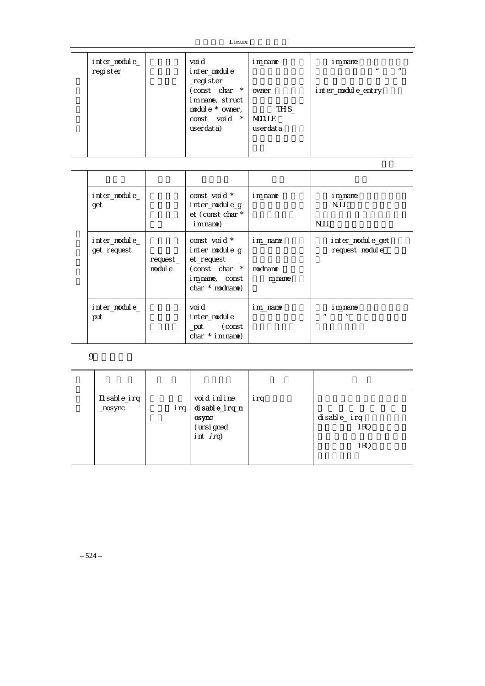$Linux$ 

| inter_module_<br>get         |                     | const voi d *<br>inter_module_g<br>et (const char *<br>i m_name)                                     | i m name                     | i m_nane<br><b>NJLL</b><br><b>NULL</b>                 |
|------------------------------|---------------------|------------------------------------------------------------------------------------------------------|------------------------------|--------------------------------------------------------|
| inter_module_<br>get_request | request_<br>modul e | const voi d *<br>inter_module_g<br>et_request<br>(const char *<br>im_name, const<br>$char * modname$ | im name<br>modname<br>m_name | inter_module_get<br>request_module                     |
| inter_module_<br>put         |                     | voi d<br>inter module<br>(const<br>_put<br>char $*$ im name)                                         | im_name                      | i m_nane<br>$\boldsymbol{\mathsf{II}}$<br>$\mathbf{u}$ |

 $9$ 

| Disable_irq<br>$_{\text{nosync}}$ | irq | void inline<br>disable_irq_n<br>osync<br>(unsi gned<br>int $irq$ ) | irq | disable_irq<br>I RO<br>I RO |
|-----------------------------------|-----|--------------------------------------------------------------------|-----|-----------------------------|
|                                   |     |                                                                    |     |                             |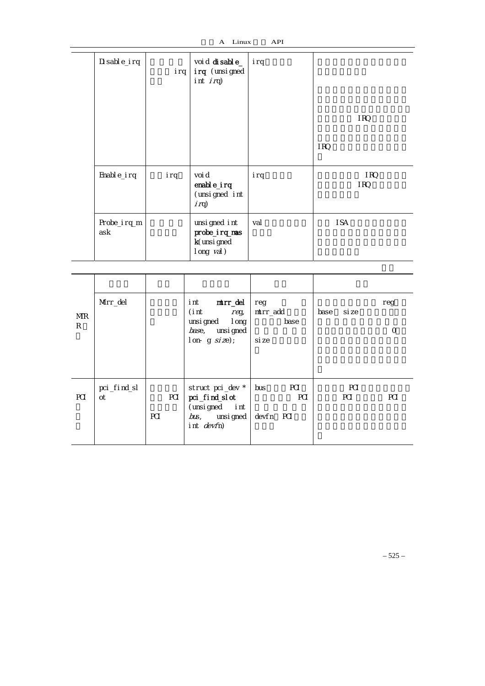A Linux API

| Di sable_irq       | irq | voi d di sable_<br>irq (unsigned<br>int $i$ $rq$ )              | lirq |              |  |  |  |
|--------------------|-----|-----------------------------------------------------------------|------|--------------|--|--|--|
|                    |     |                                                                 |      | I RQ         |  |  |  |
|                    |     |                                                                 |      | IRQ          |  |  |  |
| Enable_irq         | irq | voi d<br>enable_irq<br>(unsigned int<br>$i$ rq)                 | irq  | I RQ<br>I RQ |  |  |  |
| Probe_irq_m<br>ask |     | unsi gned int<br>probe_irq_mas<br>k(unsi gned<br>$long$ $val$ ) | val  | I SA         |  |  |  |

| MR<br>R | Mtr_del           |            | mtrr_del<br>i nt<br>(int<br>$r$ eg,<br>unsigned long<br>base, unsi gned<br>$l$ on-g size); | reg<br>mtrr_add<br>base<br>si ze      | si ze<br>base     | reg<br>$\circ$ |
|---------|-------------------|------------|--------------------------------------------------------------------------------------------|---------------------------------------|-------------------|----------------|
| PCI     | pci_find_sl<br>ot | PCI<br>PCI | struct pci_dev *<br>pci_find_sl ot<br>(unsigned int<br>bus, unsigned<br>int devfn)         | PCI<br>bus<br><b>PCI</b><br>devfn PCI | PCI<br><b>PCI</b> | PCI            |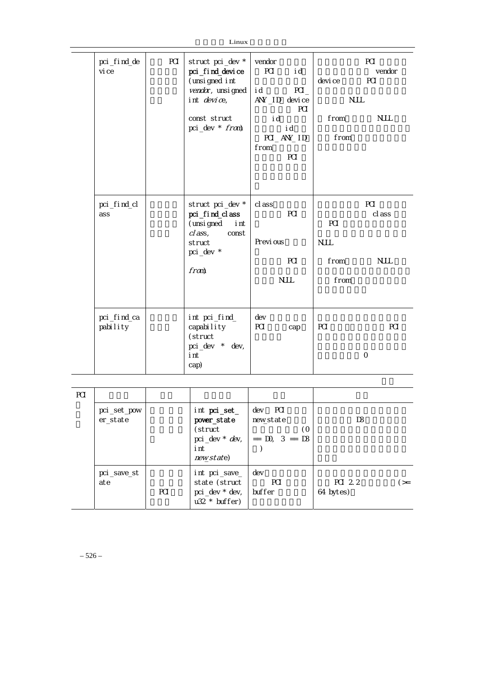| pci_find_de<br>vi ce    | PCI | struct pci_dev *<br>pci_find_device<br>(unsi gned int<br>vendar, unsi gned<br>int device,                     | vendor<br><b>PCI</b><br>i d<br>ANY ID device | i d<br>PCI<br><b>PCI</b>      | devi ce<br><b>NJLL</b>             | PCI<br>vendor<br>PCI         |
|-------------------------|-----|---------------------------------------------------------------------------------------------------------------|----------------------------------------------|-------------------------------|------------------------------------|------------------------------|
|                         |     | const struct<br>pci_dev * fram)                                                                               | i d<br>from                                  | i d<br>$PCl$ $AN$ $ID$<br>PCI | from<br>from                       | <b>NULL</b>                  |
| pci_find_cl<br>ass      |     | struct pci_dev *<br>pci_find_class<br>(unsi gned<br>i nt<br>$cl$ ass,<br>const<br>struct<br>pci_dev *<br>fran | cl ass<br>Previ ous                          | PCI<br>PCI<br><b>NJLL</b>     | PCI<br><b>NJLL</b><br>from<br>from | PCI<br>cl ass<br><b>NJLL</b> |
| pci_find_ca<br>pability |     | int pci_find_<br>capability<br>(struct<br>pci_dev * dev,<br>i nt<br>cap)                                      | dev<br>PCI                                   | cap                           | PCI                                | PCI<br>$\Omega$              |

| <b>PCI</b> |                         |            |                                                                       |                                                                             |                     |     |
|------------|-------------------------|------------|-----------------------------------------------------------------------|-----------------------------------------------------------------------------|---------------------|-----|
|            | pci_set_pow<br>er_state |            | int pci_set_<br>power_state<br>(struct<br>i nt<br>new_state)          | dev PCI<br>newstate<br>$\overline{O}$<br>pci_dev * $dev$ ,   == D0, 3 == D3 | D3                  |     |
|            | pci_save_st<br>ate      | <b>PCI</b> | int pci_save_<br>state (struct  <br>pci_dev * dev,<br>$u32 * buffer)$ | dev<br>PCI<br>buffer                                                        | PCI 22<br>64 bytes) | (>= |

– 526 –

 $Linux$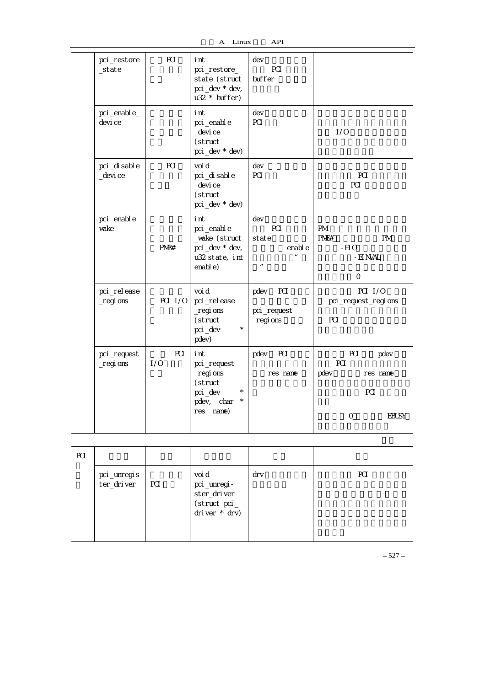| pci_restore<br>_state     | PCI               | i nt<br>pci_restore_<br>state (struct<br>pci_dev * dev,<br>$u32 * buffer)$              | dev<br>PCI<br>buffer                                               |                                                                               |
|---------------------------|-------------------|-----------------------------------------------------------------------------------------|--------------------------------------------------------------------|-------------------------------------------------------------------------------|
| pci_enable_<br>devi ce    |                   | i nt<br>pci_enabl e<br>_devi ce<br>(struct<br>pci_dev * dev)                            | dev<br>PCI                                                         | 1/0                                                                           |
| pci_di sabl e<br>_devi ce | PCI               | voi d<br>pci_di sabl e<br>_devi ce<br>(struct<br>pci_dev * dev)                         | dev<br>PCI                                                         | PCI<br>PCI                                                                    |
| pci_enabl e_<br>vake      | P <sup>N</sup>    | i nt<br>pci_enabl e<br>_vake (struct<br>pci_dev * dev,<br>u32 state, int<br>enabl e)    | dev<br>PCI<br>state<br>enabl e<br>$\mathbf{u}$<br>$\boldsymbol{n}$ | PM<br>P <sup>N</sup><br><b>PM</b><br>$-EI$ O<br>- EI NVAL<br>$\circ$          |
| pci_rel ease<br>_regi ons | PCI 1/0           | voi d<br>pci_release<br>$_{\text{r}}$ egi ons<br>(struct<br>$\star$<br>pci_dev<br>pdev) | $\overline{P}$ Cl<br>pdev<br>pci_request<br>$_regi$ ons            | PCI 1/0<br>pci_request_regions<br>PCI                                         |
| pci_request<br>_regi ons  | <b>PCI</b><br>1/0 | i nt<br>pci_request<br>$_regi$ ons<br>(struct<br>pci_dev<br>pdev, char<br>$res_$ name)  | pdev<br>PCI<br>res_name                                            | PCI<br>pdev<br>PCI<br>pdev<br>res_name<br>PCI<br>$\mathsf{O}$<br><b>EBUSY</b> |

| PCI |                           |     |                                                                         |     |     |
|-----|---------------------------|-----|-------------------------------------------------------------------------|-----|-----|
|     | pci_unregis<br>ter_driver | PCI | voi d<br>pci _unregi -<br>ster_driver<br>(struct~pci<br>driver $*$ drv) | drv | PCI |

– 527 –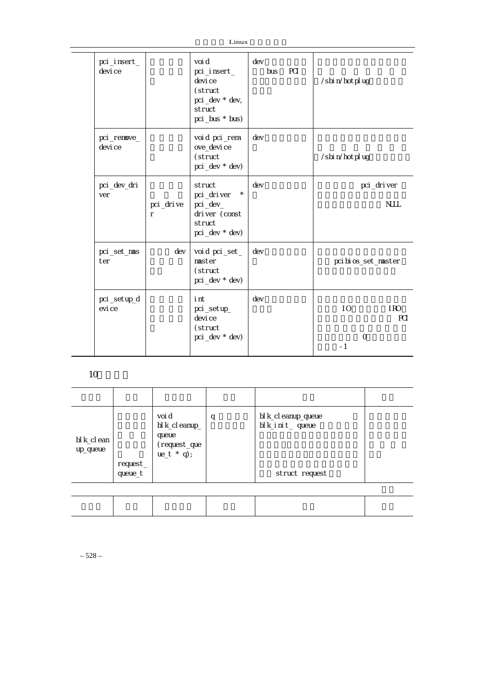| pci_insert_<br>devi ce |                           | voi d<br>pci_insert_<br>devi ce<br>(struct<br>pci_dev * dev,<br>struct<br>pci_bus * bus) | dev<br>PCI<br>bus | /sbi n/hotpl ug                       |
|------------------------|---------------------------|------------------------------------------------------------------------------------------|-------------------|---------------------------------------|
| pci_remove_<br>devi ce |                           | voi d pci_rem-<br>ove_devi ce<br>(struct<br>pci_dev * dev)                               | dev               | /sbi n/hot pl ug                      |
| pci_dev_dri<br>ver     | pci_drive<br>$\mathsf{r}$ | struct<br>$\star$<br>pci_driver<br>pci_dev_<br>driver (const<br>struct<br>pci_dev * dev) | dev               | pci_driver<br><b>NJLL</b>             |
| pci_set_mas<br>ter     | dev                       | voi d pci_set_<br>master<br>(struct<br>pci_dev * dev)                                    | dev               | pci bi os_set_master                  |
| pci_setup_d<br>evi ce  |                           | i nt<br>pci_setup_<br>devi ce<br>(struct<br>pci_dev * dev)                               | dev               | 10<br>I RO<br>PCI<br>$\Omega$<br>$-1$ |

10

| bl k_cl ean<br>up_queue | request_<br>queue_t | voi d<br>bl k_cl eanup_<br>queue<br>(request_que<br>$ue_t * q$ ; | q | bl k_cl eanup_queue<br>bl k_i ni t_ queue<br>struct request |  |
|-------------------------|---------------------|------------------------------------------------------------------|---|-------------------------------------------------------------|--|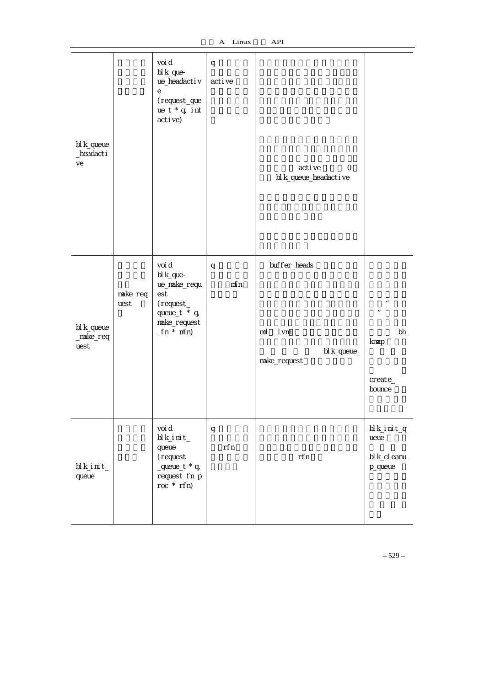| bl k_queue<br>_headacti<br>ve       |                  | voi d<br>bl k_que-<br>ue_headactiv<br>е<br>(request_que<br>$ue_t * q$ , int<br>active)                  | q<br>acti ve | active<br>0<br>bl k_queue_headactive                      |                                                                                  |
|-------------------------------------|------------------|---------------------------------------------------------------------------------------------------------|--------------|-----------------------------------------------------------|----------------------------------------------------------------------------------|
| bl k_queue<br>$\_make\_req$<br>uest | make_req<br>uest | voi d<br>bl k_que-<br>ue_make_requ<br>est<br>$(request_$<br>queue_t * q,<br>make_request<br>$fn * mfn)$ | q<br>mfn     | buffer_heads<br>I vm<br>md<br>bl k_queue_<br>make_request | $\boldsymbol{u}$<br>$\boldsymbol{\mathsf{H}}$<br>bh<br>knap<br>create_<br>bounce |
| bl k_i ni t_<br>queue               |                  | voi d<br>$bl$ k_i ni t_<br>queue<br>(request<br>$_$<br>request_fn_p<br>$roc * rfn)$                     | q<br>rfn     | rfn                                                       | bl k_i ni t_q<br>ueue<br>bl k_cl eanu<br>p_queue                                 |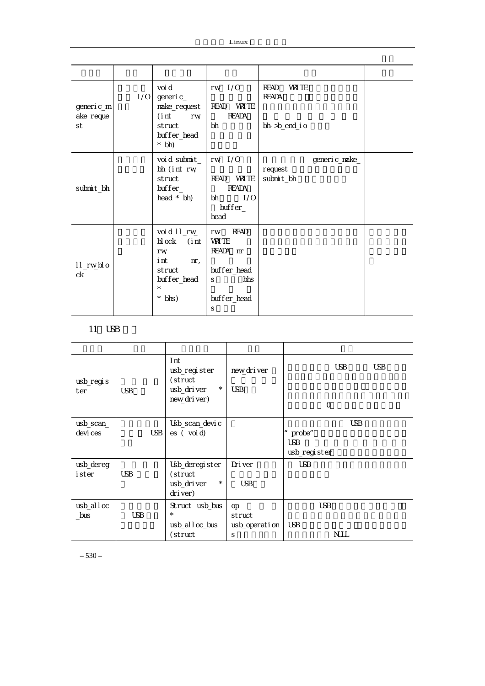| generic_m<br>ake_reque<br>st | 1/0 | voi d<br>gener i c_<br>make_request<br>(i nt<br>rw<br>struct<br>buffer_head<br>$*$ bh)                  | $rw$ $1/0$<br>READ VRITE<br><b>READA</b><br>bh                                                | <b>VRITE</b><br>READ<br><b>READA</b><br>bh->b_end_i o |  |
|------------------------------|-----|---------------------------------------------------------------------------------------------------------|-----------------------------------------------------------------------------------------------|-------------------------------------------------------|--|
| submit_bh                    |     | void submit_<br>bh (int rw<br>struct<br>$buffer_$<br>head $*$ bh)                                       | $rw$ $1/0$<br><b>VRITE</b><br><b>READ</b><br><b>READA</b><br>1/0<br>bh<br>$buffer_$<br>head   | generic_make_<br>request<br>submit_bh                 |  |
| II_rw_blo<br>ck              |     | voi d II_rv<br>block (int<br>rw<br>i nt<br>$nr_{\iota}$<br>struct<br>buffer_head<br>$\star$<br>$*$ bhs) | <b>READ</b><br>rw<br><b>VRITE</b><br>READA nr<br>buffer_head<br>bhs<br>S.<br>buffer_head<br>S |                                                       |  |

# 11 USB

| usb_regis    |            | Int<br>usb_register<br>(struct<br>$^{\star}$ | nevvdriver    |              | <b>USB</b>  | <b>USB</b> |
|--------------|------------|----------------------------------------------|---------------|--------------|-------------|------------|
| ter          | <b>USB</b> | usb_driver<br>nevvdriver)                    | <b>USB</b>    |              | $\circ$     |            |
| usb_scan_    |            | Usb_scan_devi c                              |               |              | <b>USB</b>  |            |
| devi ces     | <b>USB</b> | $\mathsf{es}$ (void)                         |               | probe"       |             |            |
|              |            |                                              |               | <b>USB</b>   |             |            |
|              |            |                                              |               | usb_register |             |            |
| usb_dereg    |            | Usb_deregister                               | Driver        | <b>USB</b>   |             |            |
| i ster       | <b>USB</b> | (struct                                      |               |              |             |            |
|              |            | $^{\star}$<br>usb_driver<br>driver)          | <b>USB</b>    |              |             |            |
| $usb_all$ oc |            | Struct usb_bus                               | <b>OD</b>     |              | <b>USB</b>  |            |
| $_b$ us      | <b>USB</b> | $\star$                                      | struct        |              |             |            |
|              |            | usb_alloc_bus                                | usb_operation | <b>USB</b>   |             |            |
|              |            | (struct                                      | S             |              | <b>NULL</b> |            |

– 530 –